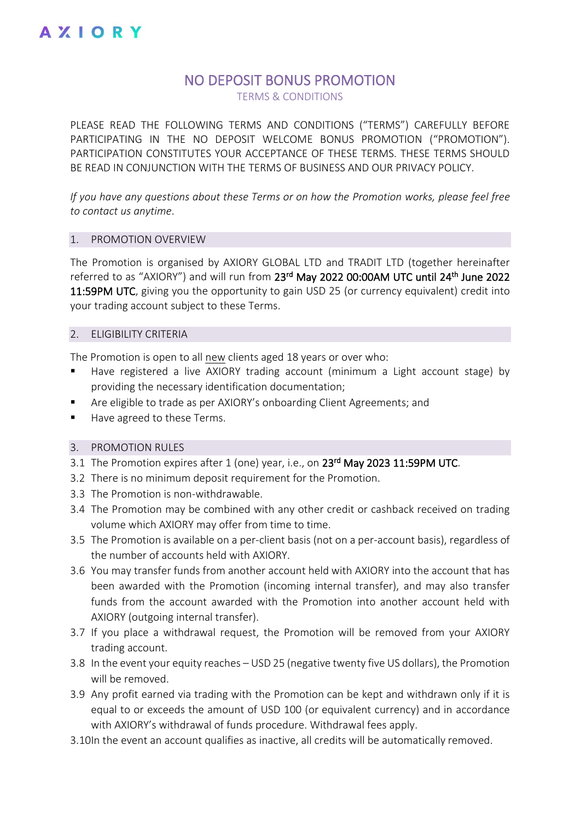### NO DEPOSIT BONUS PROMOTION

TERMS & CONDITIONS

PLEASE READ THE FOLLOWING TERMS AND CONDITIONS ("TERMS") CAREFULLY BEFORE PARTICIPATING IN THE NO DEPOSIT WELCOME BONUS PROMOTION ("PROMOTION"). PARTICIPATION CONSTITUTES YOUR ACCEPTANCE OF THESE TERMS. THESE TERMS SHOULD BE READ IN CONJUNCTION WITH THE TERMS OF BUSINESS AND OUR PRIVACY POLICY.

*If you have any questions about these Terms or on how the Promotion works, please feel free to contact us anytime*.

#### 1. PROMOTION OVERVIEW

The Promotion is organised by AXIORY GLOBAL LTD and TRADIT LTD (together hereinafter referred to as "AXIORY") and will run from 23<sup>rd</sup> May 2022 00:00AM UTC until 24<sup>th</sup> June 2022 11:59PM UTC, giving you the opportunity to gain USD 25 (or currency equivalent) credit into your trading account subject to these Terms.

#### 2. ELIGIBILITY CRITERIA

The Promotion is open to all new clients aged 18 years or over who:

- Have registered a live AXIORY trading account (minimum a Light account stage) by providing the necessary identification documentation;
- Are eligible to trade as per AXIORY's onboarding Client Agreements; and
- Have agreed to these Terms.

#### 3. PROMOTION RULES

- 3.1 The Promotion expires after 1 (one) year, i.e., on 23<sup>rd</sup> May 2023 11:59PM UTC.
- 3.2 There is no minimum deposit requirement for the Promotion.
- 3.3 The Promotion is non-withdrawable.
- 3.4 The Promotion may be combined with any other credit or cashback received on trading volume which AXIORY may offer from time to time.
- 3.5 The Promotion is available on a per-client basis (not on a per-account basis), regardless of the number of accounts held with AXIORY.
- 3.6 You may transfer funds from another account held with AXIORY into the account that has been awarded with the Promotion (incoming internal transfer), and may also transfer funds from the account awarded with the Promotion into another account held with AXIORY (outgoing internal transfer).
- 3.7 If you place a withdrawal request, the Promotion will be removed from your AXIORY trading account.
- 3.8 In the event your equity reaches USD 25 (negative twenty five US dollars), the Promotion will be removed.
- 3.9 Any profit earned via trading with the Promotion can be kept and withdrawn only if it is equal to or exceeds the amount of USD 100 (or equivalent currency) and in accordance with AXIORY's withdrawal of funds procedure. Withdrawal fees apply.
- 3.10In the event an account qualifies as inactive, all credits will be automatically removed.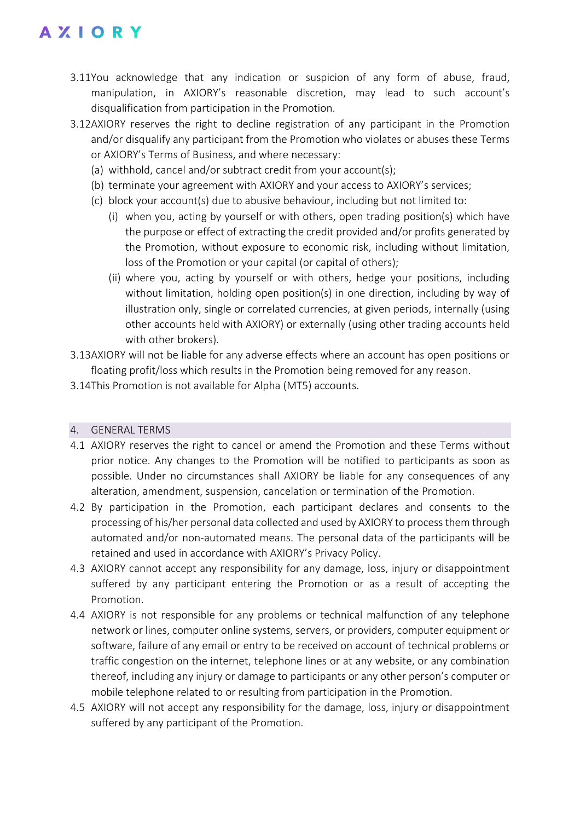## **AXIORY**

- 3.11You acknowledge that any indication or suspicion of any form of abuse, fraud, manipulation, in AXIORY's reasonable discretion, may lead to such account's disqualification from participation in the Promotion.
- 3.12AXIORY reserves the right to decline registration of any participant in the Promotion and/or disqualify any participant from the Promotion who violates or abuses these Terms or AXIORY's Terms of Business, and where necessary:
	- (a) withhold, cancel and/or subtract credit from your account(s);
	- (b) terminate your agreement with AXIORY and your access to AXIORY's services;
	- (c) block your account(s) due to abusive behaviour, including but not limited to:
		- (i) when you, acting by yourself or with others, open trading position(s) which have the purpose or effect of extracting the credit provided and/or profits generated by the Promotion, without exposure to economic risk, including without limitation, loss of the Promotion or your capital (or capital of others);
		- (ii) where you, acting by yourself or with others, hedge your positions, including without limitation, holding open position(s) in one direction, including by way of illustration only, single or correlated currencies, at given periods, internally (using other accounts held with AXIORY) or externally (using other trading accounts held with other brokers).
- 3.13AXIORY will not be liable for any adverse effects where an account has open positions or floating profit/loss which results in the Promotion being removed for any reason.
- 3.14This Promotion is not available for Alpha (MT5) accounts.

### 4. GENERAL TERMS

- 4.1 AXIORY reserves the right to cancel or amend the Promotion and these Terms without prior notice. Any changes to the Promotion will be notified to participants as soon as possible. Under no circumstances shall AXIORY be liable for any consequences of any alteration, amendment, suspension, cancelation or termination of the Promotion.
- 4.2 By participation in the Promotion, each participant declares and consents to the processing of his/her personal data collected and used by AXIORY to process them through automated and/or non-automated means. The personal data of the participants will be retained and used in accordance with AXIORY's Privacy Policy.
- 4.3 AXIORY cannot accept any responsibility for any damage, loss, injury or disappointment suffered by any participant entering the Promotion or as a result of accepting the Promotion.
- 4.4 AXIORY is not responsible for any problems or technical malfunction of any telephone network or lines, computer online systems, servers, or providers, computer equipment or software, failure of any email or entry to be received on account of technical problems or traffic congestion on the internet, telephone lines or at any website, or any combination thereof, including any injury or damage to participants or any other person's computer or mobile telephone related to or resulting from participation in the Promotion.
- 4.5 AXIORY will not accept any responsibility for the damage, loss, injury or disappointment suffered by any participant of the Promotion.